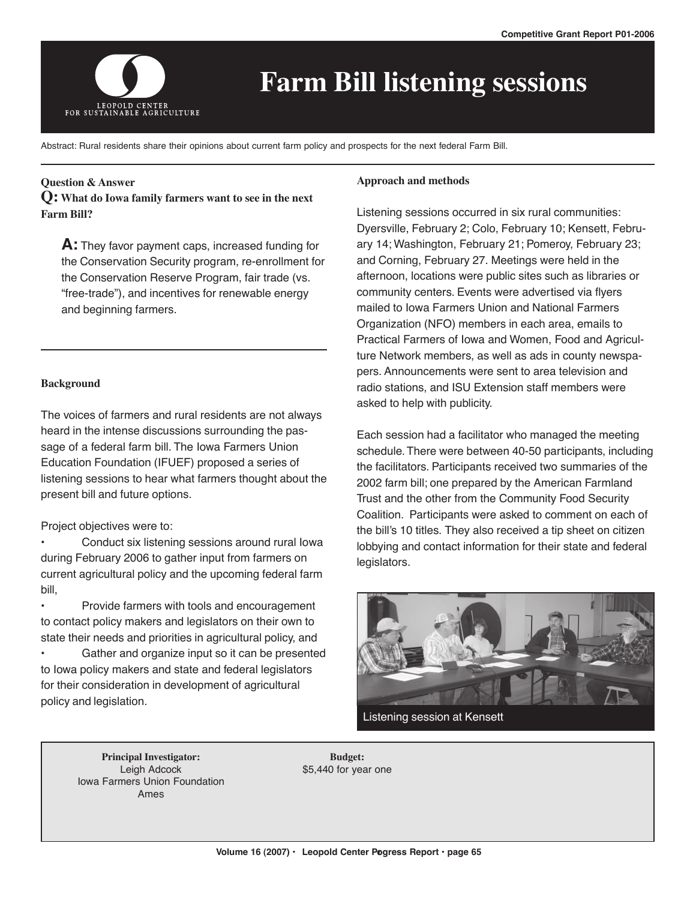

# **Farm Bill listening sessions**

Abstract: Rural residents share their opinions about current farm policy and prospects for the next federal Farm Bill.

# **Question & Answer**

**Q: What do Iowa family farmers want to see in the next Farm Bill?**

**A:** They favor payment caps, increased funding for the Conservation Security program, re-enrollment for the Conservation Reserve Program, fair trade (vs. "free-trade"), and incentives for renewable energy and beginning farmers.

#### **Background**

The voices of farmers and rural residents are not always heard in the intense discussions surrounding the passage of a federal farm bill. The Iowa Farmers Union Education Foundation (IFUEF) proposed a series of listening sessions to hear what farmers thought about the present bill and future options.

# Project objectives were to:

• Conduct six listening sessions around rural Iowa during February 2006 to gather input from farmers on current agricultural policy and the upcoming federal farm bill,

• Provide farmers with tools and encouragement to contact policy makers and legislators on their own to state their needs and priorities in agricultural policy, and

Gather and organize input so it can be presented to Iowa policy makers and state and federal legislators for their consideration in development of agricultural policy and legislation.

#### **Approach and methods**

Listening sessions occurred in six rural communities: Dyersville, February 2; Colo, February 10; Kensett, February 14; Washington, February 21; Pomeroy, February 23; and Corning, February 27. Meetings were held in the afternoon, locations were public sites such as libraries or community centers. Events were advertised via flyers mailed to Iowa Farmers Union and National Farmers Organization (NFO) members in each area, emails to Practical Farmers of Iowa and Women, Food and Agriculture Network members, as well as ads in county newspapers. Announcements were sent to area television and radio stations, and ISU Extension staff members were asked to help with publicity.

Each session had a facilitator who managed the meeting schedule. There were between 40-50 participants, including the facilitators. Participants received two summaries of the 2002 farm bill; one prepared by the American Farmland Trust and the other from the Community Food Security Coalition. Participants were asked to comment on each of the bill's 10 titles. They also received a tip sheet on citizen lobbying and contact information for their state and federal legislators.



Listening session at Kensett

**Principal Investigator:** Leigh Adcock Iowa Farmers Union Foundation Ames

**Budget:** \$5,440 for year one